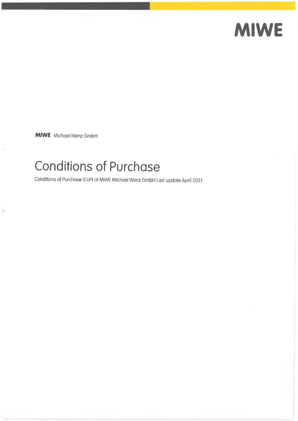# **MIWE**

**MIWE** Michael Wenz GmbH

 $\bar{\nu}$ 

# Conditions of Purchase

Conditions of Purchase (CoP) of MIWE Michael Wenz GmbH Last update April 2021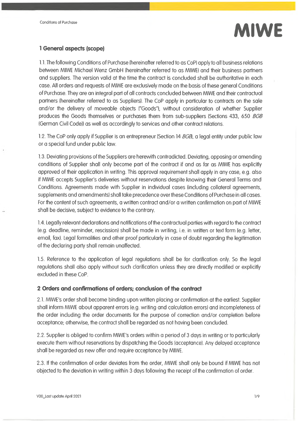

### **<sup>1</sup> General aspects (scope)**

1.1. The following Conditions of Purchase (hereinafter referred to as CoP) apply to all business relations between MIWE Michael Wenz GmbH (hereinafter referred to as MIWE) and their business partners and suppliers. The version valid at the time the contract is concluded shall be authoritative in each case. All orders and requests of MIWE are exclusively made on the basis ofthese general Conditions of Purchase. They are an integral part of all contracts concluded belween MIWE and their contractual partners (hereinafter referred to as Suppliers). The CoP apply in particular to contracts on the sale and/or the delivery of moveable objects ("Goods"), without consideration of whether Supplier produces the Goods themselves or purchases them from sub-suppliers (Sections 433, 650 *BGB* (German Civil Code)) as well as accordingly to services and other contract relations.

1.2. The CoP only apply if Supplier is an entrepreneur (Section 14 *BGB*, a legal entity under public law or a special fund under public law.

1.3. Deviating provisions ofthe Suppliers are herewith contradicted. Deviating, opposing or amending conditions of Supplier shall only become part of the contract if and as far as MIWE has explicitly approved of their application in writing. This approval requirement shall apply in any case, e.g. also if MIWE accepts Supplier's deliveries without reservations despite knowing their General Terms and Conditions. Agreements made with Supplier in individual cases (including collateral agreements, supplements and amendments) shall take precedence over these Conditions of Purchase in all cases. For the content of such agreements, a written contract and/or a written confirmation on part of MIWE shall be decisive, subject to evidence to the contrary.

1.4. Legally relevant declarations and notifications ofthe contractual parties with regard to the contract (e.g. deadline, reminder, rescission) shall be made in writing, i.e. in written or text form (e.g. letter, email, fax). Legal formalities and other proof particularly in case of doubt regarding the legitimation of the declaring party shall remain unaffected.

1.5. Reference to the application of legal regulations shall be for clarification only. So the legal regulations shall also apply without such clarification unless they are directly modified or explicitly excluded in these CoP.

#### **2 Orders and confirmations of orders; conclusion of the contract**

2.1. MIWE's order shall become binding upon written placing or confirmation at the earliest. Supplier shall inform MIWE about apparent errors (e.g. writing and calculation errors) and incompleteness of the order including the order documents for the purpose of correction and/or completion before acceptance; otherwise, the contract shall be regarded as not having been concluded.

2.2. Supplier is obliged to confirm MIWE's orders within a period of 3 days in writing or to particularly execute them without reservations by dispatching the Goods (acceptance). Any delayed acceptance shall be regarded as new offer and require acceptance by MIWE.

2.3. If the confirmation of order deviates from the order, MIWE shall only be bound if MIWE has not objected to the deviation in writing within 3 days following the receipt of the confirmation of order.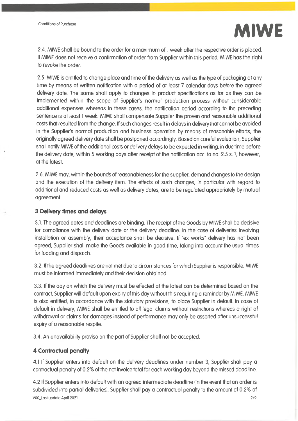

2.4. MIWE shall be bound to the order for a maximum of <sup>1</sup> week after the respective order is placed. If MIWE does not receive a confirmation of order from Supplier within this period, MIWE has the right to revoke the order.

2.5. MIWE is entitled to change place and time of the delivery as well as the type of packaging at any time by means of written notification with a period of at least 7 calendar days before the agreed delivery date. The same shall apply to changes in product specifications as far as they can be implemented within the scope of Supplier's normal production process without considerable additional expenses whereas in these cases, the notification period according to the preceding sentence is at least <sup>1</sup> week. MIWE shall compensate Supplier the proven and reasonable additional costs that resulted from fhe change. If such changes result in delays in delivery that cannot be avoided in the Supplier's normal production and business operation by means of reasonable efforts, the originally agreed delivery date shall be postponed accordingly. Based on careful evaluation, Supplier shall notify MIWE of the additional costs or delivery delays to be expected in writing, in due time before the delivery date, within 5 working days after receipt of the notification acc. to no. 2.5 s. 1, however, at the latest.

2.6. MIWE may, within the bounds of reasonableness forthe supplier, demand changes to the design and the execution of the delivery item. The effects of such changes, in particular with regard to additional and reduced costs as well as delivery dates, are to be regulated appropriately by mutual agreement.

#### **3 Delivery times and delays**

3.1. The agreed dates and deadlines are binding. The receipt of the Goods by MIWE shall be decisive for compliance with the delivery date or the delivery deadline. In the case of deliveries involving installation or assembly, their acceptance shall be decisive. If "ex works" delivery has not been agreed, Supplier shall make the Goods available in good time, taking into account the usual times for loading and dispatch.

3.2. Ifthe agreed deadlines are not met due to circumstances for which Supplier is responsible, MIWE must be informed immediately and their decision obtained.

3.3. If the day on which the delivery must be effected at the latest can be determined based on the contract, Supplier will default upon expiry of this day without this requiring a reminder by MIWE. MIWE is also entitled, in accordance with the statutory provisions, to place Supplier in default. In case of default in delivery, MIWE shall be entitled to all legal claims without restrictions whereas a right of withdrawal or claims for damages instead of performance may only be asserted after unsuccessful expiry of a reasonable respite.

3.4. An unavailability proviso on the part of Supplier shall not be accepted.

#### **4 Contractual penalty**

4.1 If Supplier enters into default on the delivery deadlines under number 3, Supplier shall pay a contractual penalty of 0.2% of the net invoice total for each working day beyond the missed deadline.

4.2 If Supplier enters into default with an agreed intermediate deadline (in the event that an order is subdivided into partial deliveries), Supplier shall pay a contractual penalty to the amount of 0.2% of V00\_Last update April 2021 2/9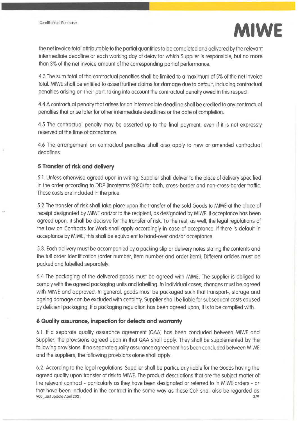

the net invoice total attributable to the partial quantities to be completed and delivered by the relevant intermediate deadline or each working day of delay for which Supplier is responsible, but no more than 3% of the net invoice amount of the corresponding partial performance.

4.3 The sum total of the contractual penalties shall be limited to a maximum of 5% of the net invoice total. MIWE shall be entitled to assert further claims for damage due to default, including contractual penalties arising on their part, taking into account the contractual penalty owed in this respect.

4.4 A contractual penalty that arises for an intermediate deadline shall be credited to any contractual penalties that arise later for other intermediate deadlines or the date of completion.

4.5 The contractual penalty may be asserted up to the final payment, even if it is not expressly reserved at the time of acceptance.

4.6 The arrangement on contractual penalties shall also apply to new or amended contractual deadlines.

#### **5 Transfer of risk and delivery**

 $\ddot{\phantom{a}}$ 

5.1. Unless otherwise agreed upon in writing, Supplier shall deliver to the place of delivery specified in the order according to DDP (Incoterms 2020) for both, cross-border and non-cross-border traffic. These costs are included in the price.

5.2 The transfer of risk shall take place upon the transfer of the sold Goods to MIWE at the place of receipt designated by MIWE and/or to the recipient, as designated by MIWE. If acceptance has been agreed upon, it shall be decisive for the transfer of risk. To the rest, as well, the legal regulations of the Law on Contracts for Work shall apply accordingly in case of acceptance. If there is default in acceptance by MIWE, this shall be equivalent to hand-over and/or acceptance.

5.3. Each delivery must be accompanied by a packing slip or delivery notes stating the contents and the full order identification (order number, item number and order item). Different articles must be packed and labelled separately.

5.4 The packaging of the delivered goods must be agreed with MIWE. The supplier is obliged to comply with the agreed packaging units and labelling. In individual cases, changes must be agreed with MIWE and approved. In general, goods must be packaged such that transport-, storage and ageing damage can be excluded with certainty. Supplier shall be liable for subsequent costs caused by deficient packaging. If a packaging regulation has been agreed upon, it is to be complied with.

#### **6 Quality assurance, inspection for defects and warranty**

6.1. If a separate quality assurance agreement (QAA) has been concluded between MIWE and Supplier, the provisions agreed upon in that QAA shall apply. They shall be supplemented by the following provisions. If no separate quality assurance agreement has been concluded between MIWE and the suppliers, the following provisions alone shall apply.

6.2. According to the legal regulations, Supplier shall be particularly liable for the Goods having the agreed quality upon transfer of risk to MIWE. The product descriptions that are the subject matter of the relevant contract - particularly as they have been designated or referred to in MIWE orders - or that have been included in the contract in the same way as these CoP shall also be regarded as V00\_Last update April 2021 3/9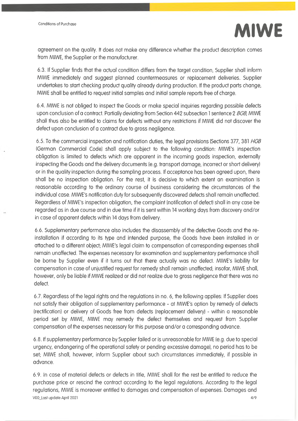

agreement on the quality. It does not make any difference whether the product description comes from MIWE, the Supplier or the manufacturer.

6.3. If Supplier finds that the actual condition differs from the target condition, Supplier shall inform MIWE immediately and suggest planned countermeasures or replacement deliveries. Supplier undertakes to start checking product quality already during production. If the product parts change, MIWE shall be entitled to request initial samples and initial sample reports free of charge.

6.4. MIWE is not obliged to inspect the Goods or make special inquiries regarding possible defects upon conclusion of a contract. Partially deviating from Section 442 subsection <sup>1</sup> sentence 2 *BGB,* MIWE shall thus also be entitled to claims for defects without any restrictions if MIWE did not discover the defect upon conclusion of a contract due to gross negligence.

6.5. To the commercial inspection and notification duties, the legal provisions (Sections 377, 381 *HGB* (German Commercial Code) shall apply subject to the following condition: MIWE's inspection obligation is limited to defects which are apparent in the incoming goods inspection, externally inspecting the Goods and the delivery documents (e.g. transport damage, incorrect or short delivery) or in the quality inspection during the sampling process. If acceptance has been agreed upon, there shall be no inspection obligation. For the rest, it is decisive to which extent an examination is reasonable according to the ordinary course of business considering the circumstances of the individual case. MIWE's notification duty for subsequently discovered defects shall remain unaffected. Regardless of MIWE's inspection obligation, the complaint (notification of defect) shall in any case be regarded as in due course and in due time if it is sent within 14 working days from discovery and/or in case of apparent defects within 14 days from delivery.

6.6. Supplementary performance also includes the disassembly of the defective Goods and the reinstallation if according to its type and intended purpose, the Goods have been installed in or attached to a different object; MIWE's legal claim to compensation of corresponding expenses shall remain unaffected. The expenses necessary for examination and supplementary performance shall be borne by Supplier even if it turns out that there actually was no defect. MIWE's liability for compensation in case of unjustified request for remedy shall remain unaffected; insofar, MIWE shall, however, only be liable if MIWE realized or did not realize due to gross negligence that there was no defect.

6.7. Regardless ofthe legal rights and the regulations in no. 6, the following applies: If Supplier does not satisfy their obligation of supplementary performance - at MIWE's option by remedy of defects (rectification) or delivery of Goods free from defects (replacement delivery) - within a reasonable period set by MIWE, MIWE may remedy the defect themselves and request from Supplier compensation ofthe expenses necessary for this purpose and/or a corresponding advance.

6.8. If supplementary performance by Supplier failed or is unreasonable for MIWE (e.g. due to special urgency, endangering of the operational safety or pending excessive damage), no period has to be set; MIWE shall, however, inform Supplier about such circumstances immediately, if possible in advance.

6.9. In case of material defects or defects in title, MIWE shall for the rest be entitled to reduce the purchase price or rescind the contract according to the legal regulations. According to the legal regulations, MIWE is moreover entitled to damages and compensation of expenses. Damages and V00\_Last update April 2021 4/9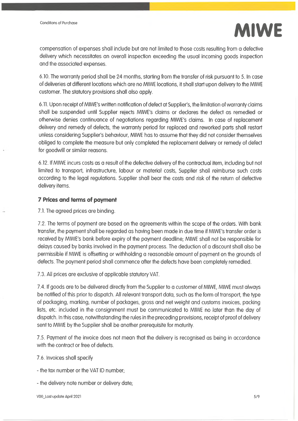

compensation of expenses shall include but are not limited to those costs resulting from a defective delivery which necessitates an overall inspection exceeding the usual incoming goods inspection and the associated expenses.

6.10. The warranty period shall be 24 months, starting from the transfer of risk pursuant to 5. In case of deliveries at different locations which are no MIWE locations, it shall start upon delivery to the MIWE customer. The statutory provisions shall also apply.

6.11. Upon receipt of MIWE's written notification of defect at Supplier's, the limitation ofwarranty claims shall be suspended until Supplier rejects MIWE's claims or declares the defect as remedied or otherwise denies continuance of negotiations regarding MIWE's claims. In case of replacement delivery and remedy of defects, the warranty period for replaced and reworked parts shall restart unless considering Supplier's behaviour, MIWE has to assume that they did not consider themselves obliged to complete the measure but only completed the replacement delivery or remedy of defect for goodwill or similar reasons.

6.12. If MIWE incurs costs as a result of the defective delivery of the contractual item, including but not limited to transport, infrastructure, labour or material costs, Supplier shall reimburse such costs according to the legal regulations. Supplier shall bear the costs and risk of the return of defective delivery items.

#### **7 Prices and terms of payment**

7.1. The agreed prices are binding.

7.2. The terms of payment are based on the agreements within the scope of the orders. With bank transfer, the payment shall be regarded as having been made in due time if MIWE's transfer order is received by MIWE's bank before expiry of the payment deadline; MIWE shall not be responsible for delays caused by banks involved in the payment process. The deduction of a discount shall also be permissible if MIWE is offsetting or withholding a reasonable amount of payment on the grounds of defects. The payment period shall commence after the defects have been completely remedied.

7.3. All prices are exclusive of applicable statutory VAT.

7.4. If goods are to be delivered directly from the Supplier to a customer of MIWE, MIWE must always be notified of this prior to dispatch. All relevant transport data, such as the form of transport, the type of packaging, marking, number of packages, gross and net weight and customs invoices, packing lists, etc. included in the consignment must be communicated to MIWE no later than the day of dispatch. In this case, notwithstanding the rules in the preceding provisions, receipt of proof of delivery sent to MIWE by the Supplier shall be another prerequisite for maturity.

7.5. Payment of the invoice does not mean that the delivery is recognised as being in accordance with the contract or free of defects.

7.6. Invoices shall specify

- the tax number or the VAT ID number;

- the delivery note number or delivery date;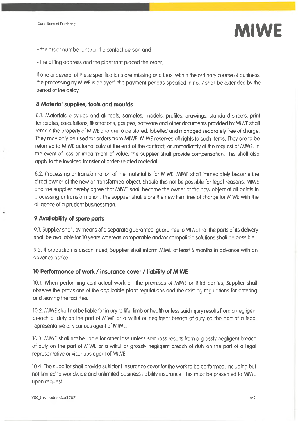

- the order number and/or the contact person and
- the billing address and the plant that placed the order.

If one or several of these specifications are missing and thus, within the ordinary course of business, the processing by MIWE is delayed, the payment periods specified in no. 7 shall be extended by the period of the delay.

#### **8 Material supplies, tools and moulds**

8.1. Materials provided and all tools, samples, models, profiles, drawings, standard sheets, print templates, calculations, illustrations, gauges, software and other documents provided by MIWE shall remain the property of MIWE and are to be stored, labelled and managed separately free of charge. They may only be used for orders from MIWE. MIWE reserves all rights to such items. They are to be returned to MIWE automatically at the end of the contract, or immediately at the request of MIWE. In the event of loss or impairment of value, the supplier shall provide compensation. This shall also apply to the invoiced transfer of order-related material.

8.2. Processing or transformation of the material is for MIWE. MIWE shall immediately become the direct owner of the new or transformed object. Should this not be possible for legal reasons, MIWE and the supplier hereby agree that MIWE shall become the owner of the new object at all points in processing or transformation. The supplier shall store the new item free of charge for MIWE with the diligence of a prudent businessman.

#### **9 Availability of spare parts**

9.1. Supplier shall, by means of a separate guarantee, guaranteeto MIWE that the parts of its delivery shall be available for 10 years whereas comparable and/or compatible solutions shall be possible.

9.2. If production is discontinued, Supplier shall inform MIWE at least 6 months in advance with an advance notice.

#### **<sup>10</sup> Performance of work / insurance cover / liability of MIWE**

10.1. When performing contractual work on the premises of MIWE or third parties, Supplier shall observe the provisions of the applicable plant regulations and the existing regulations for entering and leaving the facilities.

10.2. MIWE shall not be liable for injury to life, limb or health unless said injury results from a negligent breach of duty on the part of MIWE or a wilful or negligent breach of duty on the part of a legal representative or vicarious agent of MIWE.

10.3. MIWE shall not be liable for other loss unless said loss results from a grossly negligent breach of duty on the part of MIWE or a wilful or grossly negligent breach of duty on the part of a legal representative or vicarious agent of MIWE.

10.4. The supplier shall provide sufficient insurance cover for the work to be performed, including but not limited to worldwide and unlimited business liability insurance. This must be presented to MIWE upon request.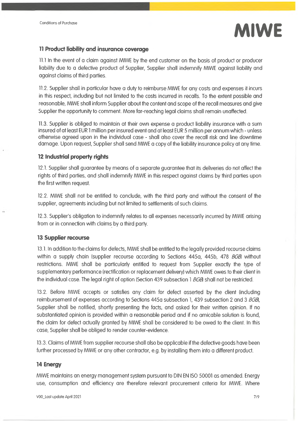

#### **<sup>11</sup> Product liability and insurance coverage**

11.1 In the event of a claim against MIWE by the end customer on the basis of product or producer liability due to a defective product of Supplier, Supplier shall indemnify MIWE against liability and against claims of third parties.

11.2. Supplier shall in particular have a duty to reimburse MIWE for any costs and expenses it incurs in this respect, including but not limited to the costs incurred in recalls. To the extent possible and reasonable, MIWE shall inform Supplier about the content and scope of the recall measures and give Supplier the opportunity to comment. More far-reaching legal claims shall remain unaffected.

11.3. Supplier is obliged to maintain at their own expense a product liability insurance with a sum insured of at least EUR <sup>1</sup> million per insured event and at least EUR 5 million per annum which - unless otherwise agreed upon in the individual case - shall also cover the recall risk and line downtime damage. Upon request, Supplier shall send MIWE a copy of the liability insurance policy at any time.

#### **12 Industrial property rights**

12.1. Supplier shall guarantee by means of a separate guarantee that its deliveries do not affect the rights of third parties, and shall indemnify MIWE in this respect against claims by third parties upon the first written request.

12.2. MIWE shall not be entitled to conclude, with the third party and without the consent of the supplier, agreements including but not limited to settlements of such claims.

12.3. Supplier's obligation to indemnify relates to all expenses necessarily incurred by MIWE arising from or in connection with claims by a third party.

#### **13 Supplier recourse**

 $\ddot{\phantom{a}}$ 

13.1. In addition to the claims for defects, MIWE shall be entitled to the legally provided recourse claims within a supply chain (supplier recourse according to Sections 445a, 445b, 478 *BGB* without restrictions. MIWE shall be particularly entitled to request from Supplier exactly the type of supplementary performance (rectification or replacement delivery) which MIWE owes to their client in the individual case. The legal right of option (Section 439 subsection <sup>1</sup> *BGB* shall not be restricted.

13.2. Before MIWE accepts or satisfies any claim for defect asserted by the client (including reimbursement of expenses according to Sections 445a subsection 1, 439 subsection 2 and 3 *BGBi,* Supplier shall be notified, shortly presenting the facts, and asked for their written opinion. If no substantiated opinion is provided within a reasonable period and if no amicable solution is found, the claim for defect actually granted by MIWE shall be considered to be owed to the client. In this case, Supplier shall be obliged to render counter-evidence.

13.3. Claims of MIWE from supplier recourse shall also be applicable ifthe defective goods have been further processed by MIWE or any other contractor, e.g. by installing them into a different product.

# **14 Energy**

MIWE maintains an energy management system pursuant to DIN EN ISO 50001 as amended. Energy use, consumption and efficiency are therefore relevant procurement criteria for MIWE. Where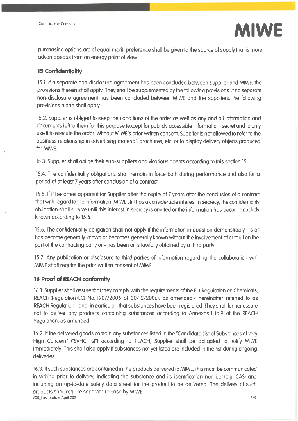

purchasing options are of equal merit, preference shall be given to the source of supply that is more advantageous from an energy point of view.

#### **15 Confidentiality**

15.1. If a separate non-disclosure agreement has been concluded between Supplier and MIWE, the provisions therein shall apply. They shall be supplemented by the following provisions. If no separate non-disclosure agreement has been concluded between MIWE and the suppliers, the following provisions alone shall apply.

15.2. Supplier is obliged to keep the conditions of the order as well as any and all information and documents left to them for this purpose (except for publicly accessible information) secret and to only use it to execute the order. Without MIWE's prior written consent, Supplier is not allowed to refer to the business relationship in advertising material, brochures, etc. or to display delivery objects produced for MIWE.

15.3. Supplier shall oblige their sub-suppliers and vicarious agents according to this section 15.

15.4. The confidentiality obligations shall remain in force both during performance and also for a period of at least 7 years after conclusion of a contract.

15.5. If it becomes apparent for Supplier after the expiry of 7 years after the conclusion of a contract that with regard to the information, MIWE still has a considerable interest in secrecy, the confidentiality obligation shall survive until this interest in secrecy is omitted or the information has become publicly known according to 15.6.

15.6. The confidentiality obligation shall not apply if the information in question demonstrably - is or has become generally known or becomes generally known without the involvement of or fault on the part of the contracting party or - has been or is lawfully obtained by a third party.

15.7. Any publication or disclosure to third parties of information regarding the collaboration with MIWE shall require the prior written consent of MIWE.

#### **16 Proof of REACH conformity**

16.1. Supplier shall assure that they comply with the requirements of the EU Regulation on Chemicals, REACH (Regulation (EC) No. 1907/2006 of 30/12/2006), as amended - hereinafter referred to as REACH Regulation - and, in particular, that substances have been registered. They shall further assure not to deliver any products containing substances according to Annexes <sup>1</sup> to 9 of the REACH Regulation, as amended.

16.2. If the delivered goods contain any substances listed in the "Candidate List of Substances of very High Concern" ("SVHC list") according to REACH, Supplier shall be obligated to notify MIWE immediately. This shall also apply if substances not yet listed are included in the list during ongoing deliveries.

16.3. If such substances are contained in the products delivered to MIWE, this must be communicated in writing prior to delivery, indicating the substance and its identification number (e.g. CAS) and including an up-to-date safety data sheet for the product to be delivered. The delivery of such products shall require separate release by MIWE. V00\_Last update April 2021 8/9